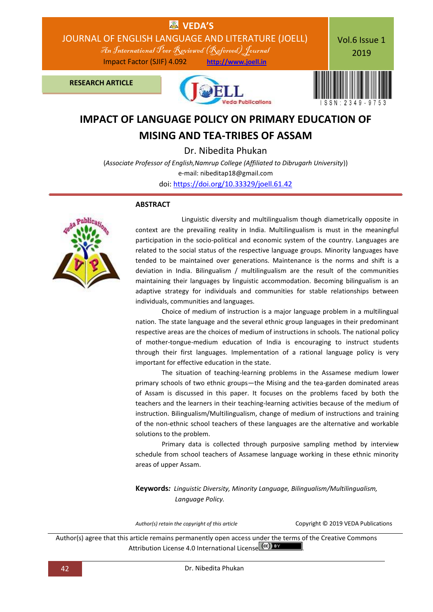

**MISING AND TEA-TRIBES OF ASSAM**

Dr. Nibedita Phukan

(*Associate Professor of English,Namrup College (Affiliated to Dibrugarh University*)) e-mail: nibeditap18@gmail.com doi: [https://doi.org/10.33329/joell.61.42](http://joell.in/2019/02/01/doi-https-doi-org-10-33329-joell-61-42/)

## **ABSTRACT**



 Linguistic diversity and multilingualism though diametrically opposite in context are the prevailing reality in India. Multilingualism is must in the meaningful participation in the socio-political and economic system of the country. Languages are related to the social status of the respective language groups. Minority languages have tended to be maintained over generations. Maintenance is the norms and shift is a deviation in India. Bilingualism / multilingualism are the result of the communities maintaining their languages by linguistic accommodation. Becoming bilingualism is an adaptive strategy for individuals and communities for stable relationships between individuals, communities and languages.

Choice of medium of instruction is a major language problem in a multilingual nation. The state language and the several ethnic group languages in their predominant respective areas are the choices of medium of instructions in schools. The national policy of mother-tongue-medium education of India is encouraging to instruct students through their first languages. Implementation of a rational language policy is very important for effective education in the state.

The situation of teaching-learning problems in the Assamese medium lower primary schools of two ethnic groups—the Mising and the tea-garden dominated areas of Assam is discussed in this paper. It focuses on the problems faced by both the teachers and the learners in their teaching-learning activities because of the medium of instruction. Bilingualism/Multilingualism, change of medium of instructions and training of the non-ethnic school teachers of these languages are the alternative and workable solutions to the problem.

Primary data is collected through purposive sampling method by interview schedule from school teachers of Assamese language working in these ethnic minority areas of upper Assam.

**Keywords***: Linguistic Diversity, Minority Language, Bilingualism/Multilingualism, Language Policy.*

*Author(s) retain the copyright of this article* Copyright © 2019 VEDA Publications

Author(s) agree that this article remains permanently open access under the terms of the Creative Commons Attribution License 4.0 International License Ccc) BY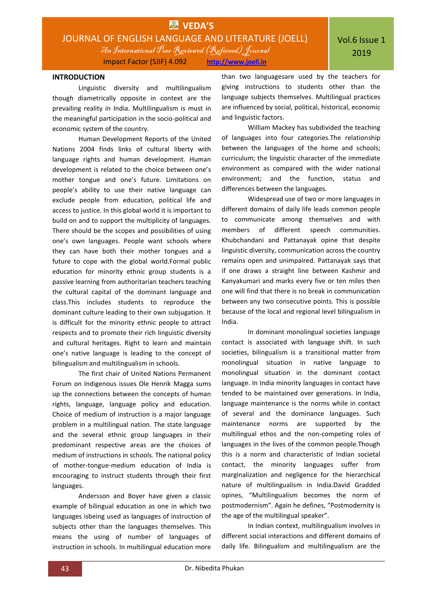

### **INTRODUCTION**

Linguistic diversity and multilingualism though diametrically opposite in context are the prevailing reality in India. Multilingualism is must in the meaningful participation in the socio-political and economic system of the country.

Human Development Reports of the United Nations 2004 finds links of cultural liberty with language rights and human development. Human development is related to the choice between one's mother tongue and one's future. Limitations on people's ability to use their native language can exclude people from education, political life and access to justice. In this global world it is important to build on and to support the multiplicity of languages. There should be the scopes and possibilities of using one's own languages. People want schools where they can have both their mother tongues and a future to cope with the global world.Formal public education for minority ethnic group students is a passive learning from authoritarian teachers teaching the cultural capital of the dominant language and class.This includes students to reproduce the dominant culture leading to their own subjugation. It is difficult for the minority ethnic people to attract respects and to promote their rich linguistic diversity and cultural heritages. Right to learn and maintain one's native language is leading to the concept of bilingualism and multilingualism in schools.

The first chair of United Nations Permanent Forum on Indigenous issues Ole Henrik Magga sums up the connections between the concepts of human rights, language, language policy and education. Choice of medium of instruction is a major language problem in a multilingual nation. The state language and the several ethnic group languages in their predominant respective areas are the choices of medium of instructions in schools. The national policy of mother-tongue-medium education of India is encouraging to instruct students through their first languages.

Andersson and Boyer have given a classic example of bilingual education as one in which two languages isbeing used as languages of instruction of subjects other than the languages themselves. This means the using of number of languages of instruction in schools. In multilingual education more

than two languagesare used by the teachers for giving instructions to students other than the language subjects themselves. Multilingual practices are influenced by social, political, historical, economic and linguistic factors.

William Mackey has subdivided the teaching of languages into four categories.The relationship between the languages of the home and schools; curriculum; the linguistic character of the immediate environment as compared with the wider national environment; and the function, status and differences between the languages.

Widespread use of two or more languages in different domains of daily life leads common people to communicate among themselves and with members of different speech communities. Khubchandani and Pattanayak opine that despite linguistic diversity, communication across the country remains open and unimpaired. Pattanayak says that if one draws a straight line between Kashmir and Kanyakumari and marks every five or ten miles then one will find that there is no break in communication between any two consecutive points. This is possible because of the local and regional level bilingualism in India.

In dominant monolingual societies language contact is associated with language shift. In such societies, bilingualism is a transitional matter from monolingual situation in native language to monolingual situation in the dominant contact language. In India minority languages in contact have tended to be maintained over generations. In India, language maintenance is the norms while in contact of several and the dominance languages. Such maintenance norms are supported by the multilingual ethos and the non-competing roles of languages in the lives of the common people.Though this is a norm and characteristic of Indian societal contact, the minority languages suffer from marginalization and negligence for the hierarchical nature of multilingualism in India.David Gradded opines, "Multilingualism becomes the norm of postmodernism". Again he defines, "Postmodernity is the age of the multilingual speaker".

In Indian context, multilingualism involves in different social interactions and different domains of daily life. Bilingualism and multilingualism are the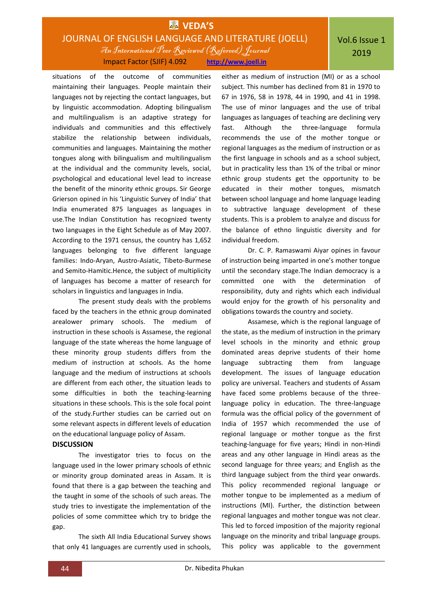# **EX** VEDA'S JOURNAL OF ENGLISH LANGUAGE AND LITERATURE (JOELL) An International Peer Reviewed (Refereed)Journal Impact Factor (SJIF) 4.092 **http://www.joell.in**

situations of the outcome of communities maintaining their languages. People maintain their languages not by rejecting the contact languages, but by linguistic accommodation. Adopting bilingualism and multilingualism is an adaptive strategy for individuals and communities and this effectively stabilize the relationship between individuals, communities and languages. Maintaining the mother tongues along with bilingualism and multilingualism at the individual and the community levels, social, psychological and educational level lead to increase the benefit of the minority ethnic groups. Sir George Grierson opined in his 'Linguistic Survey of India' that India enumerated 875 languages as languages in use.The Indian Constitution has recognized twenty two languages in the Eight Schedule as of May 2007. According to the 1971 census, the country has 1,652 languages belonging to five different language families: Indo-Aryan, Austro-Asiatic, Tibeto-Burmese and Semito-Hamitic.Hence, the subject of multiplicity of languages has become a matter of research for scholars in linguistics and languages in India.

The present study deals with the problems faced by the teachers in the ethnic group dominated arealower primary schools. The medium of instruction in these schools is Assamese, the regional language of the state whereas the home language of these minority group students differs from the medium of instruction at schools. As the home language and the medium of instructions at schools are different from each other, the situation leads to some difficulties in both the teaching-learning situations in these schools. This is the sole focal point of the study.Further studies can be carried out on some relevant aspects in different levels of education on the educational language policy of Assam.

#### **DISCUSSION**

The investigator tries to focus on the language used in the lower primary schools of ethnic or minority group dominated areas in Assam. It is found that there is a gap between the teaching and the taught in some of the schools of such areas. The study tries to investigate the implementation of the policies of some committee which try to bridge the gap.

The sixth All India Educational Survey shows that only 41 languages are currently used in schools,

either as medium of instruction (MI) or as a school subject. This number has declined from 81 in 1970 to 67 in 1976, 58 in 1978, 44 in 1990, and 41 in 1998. The use of minor languages and the use of tribal languages as languages of teaching are declining very fast. Although the three-language formula recommends the use of the mother tongue or regional languages as the medium of instruction or as the first language in schools and as a school subject, but in practicality less than 1% of the tribal or minor ethnic group students get the opportunity to be educated in their mother tongues, mismatch between school language and home language leading to subtractive language development of these students. This is a problem to analyze and discuss for the balance of ethno linguistic diversity and for individual freedom.

Dr. C. P. Ramaswami Aiyar opines in favour of instruction being imparted in one's mother tongue until the secondary stage.The Indian democracy is a committed one with the determination of responsibility, duty and rights which each individual would enjoy for the growth of his personality and obligations towards the country and society.

Assamese, which is the regional language of the state, as the medium of instruction in the primary level schools in the minority and ethnic group dominated areas deprive students of their home language subtracting them from language development. The issues of language education policy are universal. Teachers and students of Assam have faced some problems because of the threelanguage policy in education. The three-language formula was the official policy of the government of India of 1957 which recommended the use of regional language or mother tongue as the first teaching-language for five years; Hindi in non-Hindi areas and any other language in Hindi areas as the second language for three years; and English as the third language subject from the third year onwards. This policy recommended regional language or mother tongue to be implemented as a medium of instructions (MI). Further, the distinction between regional languages and mother tongue was not clear. This led to forced imposition of the majority regional language on the minority and tribal language groups. This policy was applicable to the government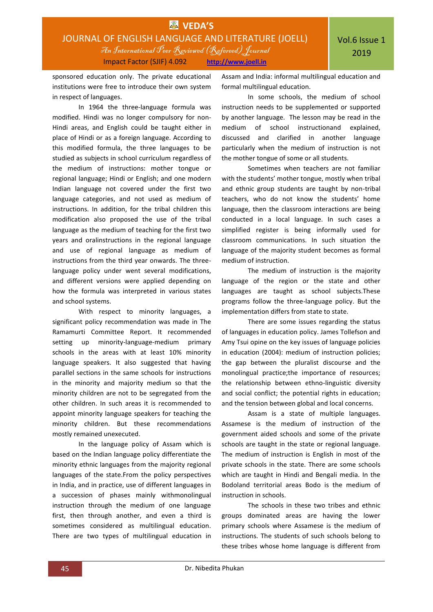

sponsored education only. The private educational institutions were free to introduce their own system in respect of languages.

In 1964 the three-language formula was modified. Hindi was no longer compulsory for non-Hindi areas, and English could be taught either in place of Hindi or as a foreign language. According to this modified formula, the three languages to be studied as subjects in school curriculum regardless of the medium of instructions: mother tongue or regional language; Hindi or English; and one modern Indian language not covered under the first two language categories, and not used as medium of instructions. In addition, for the tribal children this modification also proposed the use of the tribal language as the medium of teaching for the first two years and oralinstructions in the regional language and use of regional language as medium of instructions from the third year onwards. The threelanguage policy under went several modifications, and different versions were applied depending on how the formula was interpreted in various states and school systems.

With respect to minority languages, a significant policy recommendation was made in The Ramamurti Committee Report. It recommended setting up minority-language-medium primary schools in the areas with at least 10% minority language speakers. It also suggested that having parallel sections in the same schools for instructions in the minority and majority medium so that the minority children are not to be segregated from the other children. In such areas it is recommended to appoint minority language speakers for teaching the minority children. But these recommendations mostly remained unexecuted.

In the language policy of Assam which is based on the Indian language policy differentiate the minority ethnic languages from the majority regional languages of the state.From the policy perspectives in India, and in practice, use of different languages in a succession of phases mainly withmonolingual instruction through the medium of one language first, then through another, and even a third is sometimes considered as multilingual education. There are two types of multilingual education in Assam and India: informal multilingual education and formal multilingual education.

In some schools, the medium of school instruction needs to be supplemented or supported by another language. The lesson may be read in the medium of school instructionand explained, discussed and clarified in another language particularly when the medium of instruction is not the mother tongue of some or all students.

Sometimes when teachers are not familiar with the students' mother tongue, mostly when tribal and ethnic group students are taught by non-tribal teachers, who do not know the students' home language, then the classroom interactions are being conducted in a local language. In such cases a simplified register is being informally used for classroom communications. In such situation the language of the majority student becomes as formal medium of instruction.

The medium of instruction is the majority language of the region or the state and other languages are taught as school subjects.These programs follow the three-language policy. But the implementation differs from state to state.

There are some issues regarding the status of languages in education policy. James Tollefson and Amy Tsui opine on the key issues of language policies in education (2004): medium of instruction policies; the gap between the pluralist discourse and the monolingual practice;the importance of resources; the relationship between ethno-linguistic diversity and social conflict; the potential rights in education; and the tension between global and local concerns.

Assam is a state of multiple languages. Assamese is the medium of instruction of the government aided schools and some of the private schools are taught in the state or regional language. The medium of instruction is English in most of the private schools in the state. There are some schools which are taught in Hindi and Bengali media. In the Bodoland territorial areas Bodo is the medium of instruction in schools.

The schools in these two tribes and ethnic groups dominated areas are having the lower primary schools where Assamese is the medium of instructions. The students of such schools belong to these tribes whose home language is different from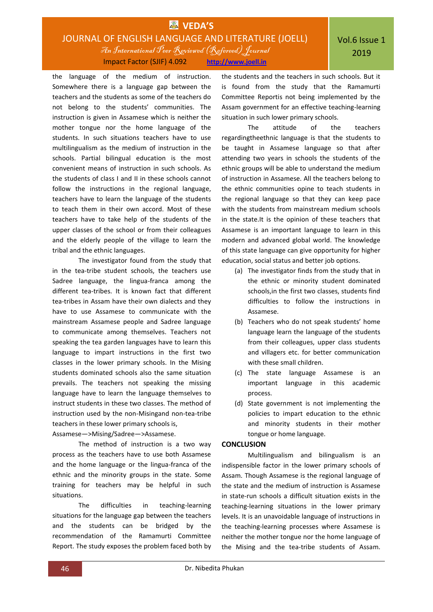# **EX** VEDA'S JOURNAL OF ENGLISH LANGUAGE AND LITERATURE (JOELL) An International Peer Reviewed (Refereed)Journal Impact Factor (SJIF) 4.092 **http://www.joell.in**

the language of the medium of instruction. Somewhere there is a language gap between the teachers and the students as some of the teachers do not belong to the students' communities. The instruction is given in Assamese which is neither the mother tongue nor the home language of the students. In such situations teachers have to use multilingualism as the medium of instruction in the schools. Partial bilingual education is the most convenient means of instruction in such schools. As the students of class I and II in these schools cannot follow the instructions in the regional language, teachers have to learn the language of the students to teach them in their own accord. Most of these teachers have to take help of the students of the upper classes of the school or from their colleagues and the elderly people of the village to learn the tribal and the ethnic languages.

The investigator found from the study that in the tea-tribe student schools, the teachers use Sadree language, the lingua-franca among the different tea-tribes. It is known fact that different tea-tribes in Assam have their own dialects and they have to use Assamese to communicate with the mainstream Assamese people and Sadree language to communicate among themselves. Teachers not speaking the tea garden languages have to learn this language to impart instructions in the first two classes in the lower primary schools. In the Mising students dominated schools also the same situation prevails. The teachers not speaking the missing language have to learn the language themselves to instruct students in these two classes. The method of instruction used by the non-Misingand non-tea-tribe teachers in these lower primary schools is,

Assamese—>Mising/Sadree—>Assamese.

The method of instruction is a two way process as the teachers have to use both Assamese and the home language or the lingua-franca of the ethnic and the minority groups in the state. Some training for teachers may be helpful in such situations.

The difficulties in teaching-learning situations for the language gap between the teachers and the students can be bridged by the recommendation of the Ramamurti Committee Report. The study exposes the problem faced both by the students and the teachers in such schools. But it is found from the study that the Ramamurti Committee Reportis not being implemented by the Assam government for an effective teaching-learning situation in such lower primary schools.

The attitude of the teachers regardingtheethnic language is that the students to be taught in Assamese language so that after attending two years in schools the students of the ethnic groups will be able to understand the medium of instruction in Assamese. All the teachers belong to the ethnic communities opine to teach students in the regional language so that they can keep pace with the students from mainstream medium schools in the state.It is the opinion of these teachers that Assamese is an important language to learn in this modern and advanced global world. The knowledge of this state language can give opportunity for higher education, social status and better job options.

- (a) The investigator finds from the study that in the ethnic or minority student dominated schools,in the first two classes, students find difficulties to follow the instructions in Assamese.
- (b) Teachers who do not speak students' home language learn the language of the students from their colleagues, upper class students and villagers etc. for better communication with these small children.
- (c) The state language Assamese is an important language in this academic process.
- (d) State government is not implementing the policies to impart education to the ethnic and minority students in their mother tongue or home language.

## **CONCLUSION**

Multilingualism and bilingualism is an indispensible factor in the lower primary schools of Assam. Though Assamese is the regional language of the state and the medium of instruction is Assamese in state-run schools a difficult situation exists in the teaching-learning situations in the lower primary levels. It is an unavoidable language of instructions in the teaching-learning processes where Assamese is neither the mother tongue nor the home language of the Mising and the tea-tribe students of Assam.